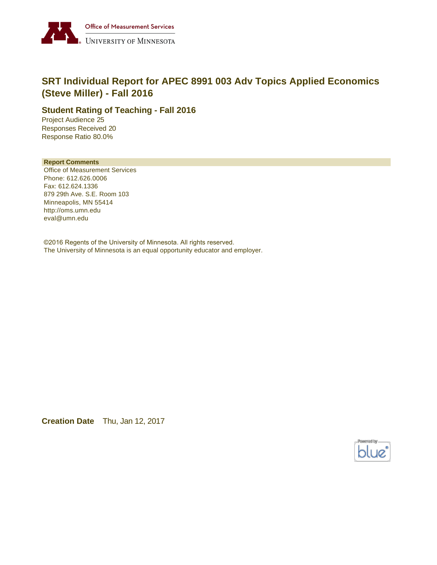

# **SRT Individual Report for APEC 8991 003 Adv Topics Applied Economics (Steve Miller) - Fall 2016**

### **Student Rating of Teaching - Fall 2016**

Project Audience 25 Responses Received 20 Response Ratio 80.0%

#### **Report Comments**

Office of Measurement Services Phone: 612.626.0006 Fax: 612.624.1336 879 29th Ave. S.E. Room 103 Minneapolis, MN 55414 http://oms.umn.edu eval@umn.edu

©2016 Regents of the University of Minnesota. All rights reserved. The University of Minnesota is an equal opportunity educator and employer.

**Creation Date** Thu, Jan 12, 2017

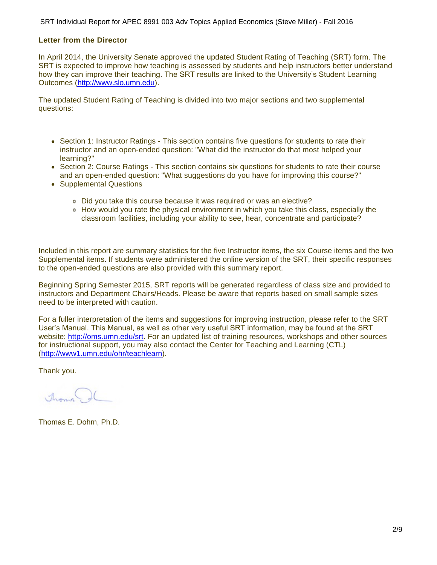SRT Individual Report for APEC 8991 003 Adv Topics Applied Economics (Steve Miller) - Fall 2016

#### **Letter from the Director**

In April 2014, the University Senate approved the updated Student Rating of Teaching (SRT) form. The SRT is expected to improve how teaching is assessed by students and help instructors better understand how they can improve their teaching. The SRT results are linked to the University's Student Learning Outcomes ([http://www.slo.umn.edu\)](http://www.slo.umn.edu).

The updated Student Rating of Teaching is divided into two major sections and two supplemental questions:

- Section 1: Instructor Ratings This section contains five questions for students to rate their instructor and an open-ended question: "What did the instructor do that most helped your learning?"
- Section 2: Course Ratings This section contains six questions for students to rate their course and an open-ended question: "What suggestions do you have for improving this course?"
- Supplemental Questions
	- Did you take this course because it was required or was an elective?
	- How would you rate the physical environment in which you take this class, especially the classroom facilities, including your ability to see, hear, concentrate and participate?

Included in this report are summary statistics for the five Instructor items, the six Course items and the two Supplemental items. If students were administered the online version of the SRT, their specific responses to the open-ended questions are also provided with this summary report.

Beginning Spring Semester 2015, SRT reports will be generated regardless of class size and provided to instructors and Department Chairs/Heads. Please be aware that reports based on small sample sizes need to be interpreted with caution.

For a fuller interpretation of the items and suggestions for improving instruction, please refer to the SRT User's Manual. This Manual, as well as other very useful SRT information, may be found at the SRT website:<http://oms.umn.edu/srt>. For an updated list of training resources, workshops and other sources for instructional support, you may also contact the Center for Teaching and Learning (CTL) (<http://www1.umn.edu/ohr/teachlearn>).

Thank you.

Around.

Thomas E. Dohm, Ph.D.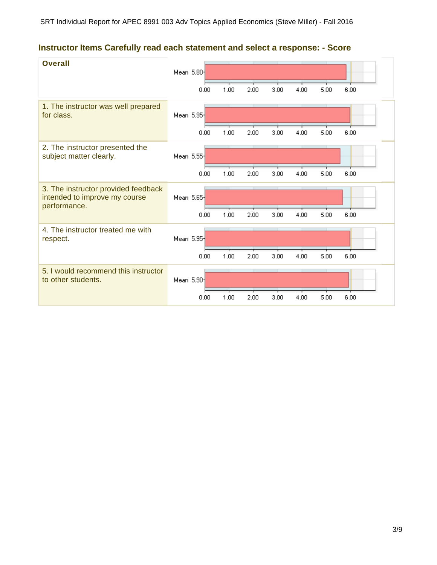# **Instructor Items Carefully read each statement and select a response: - Score**

| <b>Overall</b>                                                                       | Mean 5.80-<br>0.00 | 1.00 | 2.00 | 3.00 | 4.00 | 5.00 | 6.00 |
|--------------------------------------------------------------------------------------|--------------------|------|------|------|------|------|------|
| 1. The instructor was well prepared<br>for class.                                    | Mean 5.95-<br>0.00 | 1.00 | 2.00 | 3.00 | 4.00 | 5.00 | 6.00 |
| 2. The instructor presented the<br>subject matter clearly.                           | Mean 5.55<br>0.00  | 1.00 | 2.00 | 3.00 | 4.00 | 5.00 | 6.00 |
| 3. The instructor provided feedback<br>intended to improve my course<br>performance. | Mean 5.65-<br>0.00 | 1.00 | 2.00 | 3.00 | 4.00 | 5.00 | 6.00 |
| 4. The instructor treated me with<br>respect.                                        | Mean 5.95-<br>0.00 | 1.00 | 2.00 | 3.00 | 4.00 | 5.00 | 6.00 |
| 5. I would recommend this instructor<br>to other students.                           | Mean 5.90-         |      |      |      |      |      |      |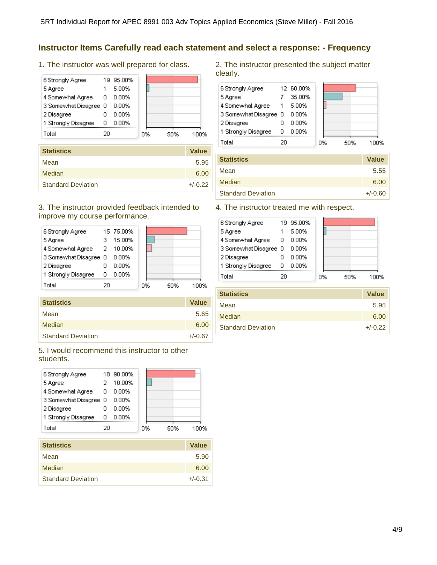### **Instructor Items Carefully read each statement and select a response: - Frequency**

1. The instructor was well prepared for class.

| 6 Strongly Agree      |    | 19 95.00% |    |     |      |
|-----------------------|----|-----------|----|-----|------|
| 5 Agree               |    | 5.00%     |    |     |      |
| 4 Somewhat Agree      | 0  | 0.00%     |    |     |      |
| 3 Somewhat Disagree 0 |    | $0.00\%$  |    |     |      |
| 2 Disagree            |    | 0.00%     |    |     |      |
| 1 Strongly Disagree   | ο  | $0.00\%$  |    |     |      |
| Total                 | 20 |           | 0% | 50% | 100% |
|                       |    |           |    |     |      |

| <b>Statistics</b>         | <b>Value</b> |
|---------------------------|--------------|
| Mean                      | 5.95         |
| Median                    | 6.00         |
| <b>Standard Deviation</b> | $+/-0.22$    |

#### 3. The instructor provided feedback intended to improve my course performance.

|                       | 15.00% |                                        |     |      |
|-----------------------|--------|----------------------------------------|-----|------|
|                       |        |                                        |     |      |
| 3 Somewhat Disagree 0 | 0.00%  |                                        |     |      |
|                       | 0.00%  |                                        |     |      |
| ο                     | 0.00%  |                                        |     |      |
| 20                    |        |                                        | 50% | 100% |
|                       |        | 15 75.00%<br>4 Somewhat Agree 2 10.00% | 0%  |      |

| <b>Statistics</b>         | <b>Value</b> |
|---------------------------|--------------|
| Mean                      | 5.65         |
| Median                    | 6.00         |
| <b>Standard Deviation</b> | $+/-0.67$    |
|                           |              |

5. I would recommend this instructor to other students.

| 6 Strongly Agree      |    | 18 90.00% |    |     |      |
|-----------------------|----|-----------|----|-----|------|
| 5 Agree               |    | 10.00%    |    |     |      |
| 4 Somewhat Agree      | 0  | 0.00%     |    |     |      |
| 3 Somewhat Disagree 0 |    | 0.00%     |    |     |      |
| 2 Disagree            |    | 0.00%     |    |     |      |
| 1 Strongly Disagree   | Ω  | 0.00%     |    |     |      |
| Total                 | 20 |           | 0% | 50% | 100% |

| <b>Statistics</b>         | <b>Value</b> |
|---------------------------|--------------|
| Mean                      | 5.90         |
| Median                    | 6.00         |
| <b>Standard Deviation</b> | $+/-0.31$    |

2. The instructor presented the subject matter clearly.



| <b>Statistics</b>         | <b>Value</b> |
|---------------------------|--------------|
| Mean                      | 5.55         |
| Median                    | 6.00         |
| <b>Standard Deviation</b> | $+/-0.60$    |

### 4. The instructor treated me with respect.

| 6 Strongly Agree      |    | 19 95.00% |    |     |      |
|-----------------------|----|-----------|----|-----|------|
| 5 Agree               |    | 5.00%     |    |     |      |
| 4 Somewhat Agree      | 0  | 0.00%     |    |     |      |
| 3 Somewhat Disagree 0 |    | 0.00%     |    |     |      |
| 2 Disagree            |    | 0.00%     |    |     |      |
| 1 Strongly Disagree   | 0  | 0.00%     |    |     |      |
| Total                 | 20 |           | 0% | 50% | 100% |
|                       |    |           |    |     |      |

| <b>Statistics</b>         | <b>Value</b> |
|---------------------------|--------------|
| Mean                      | 5.95         |
| <b>Median</b>             | 6.00         |
| <b>Standard Deviation</b> | $+/-0.22$    |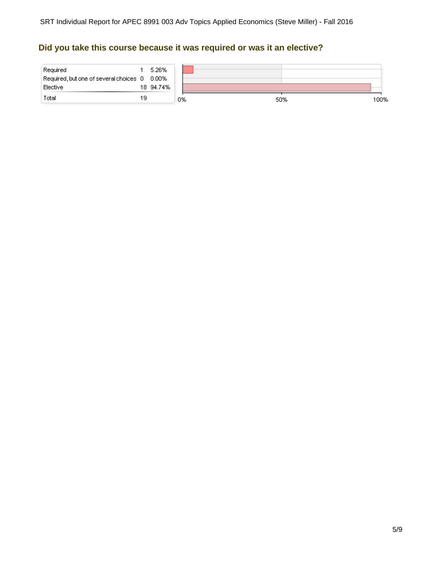# **Did you take this course because it was required or was it an elective?**

| Required<br>Required, but one of several choices 0 0.00%<br>Elective |    | 5.26%<br>18 94.74% |    |     |      |
|----------------------------------------------------------------------|----|--------------------|----|-----|------|
| Total                                                                | 19 |                    | 0% | 50% | 100% |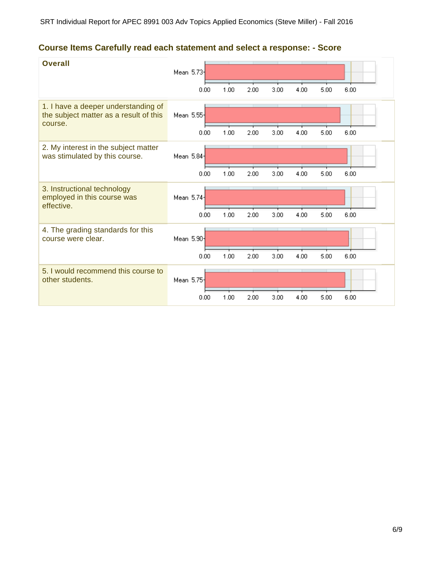# **Course Items Carefully read each statement and select a response: - Score**

| <b>Overall</b>                                                                           | Mean 5.73  | 0.00 | 1.00 | 2.00 | 3.00 | 4.00 | 5.00 | 6.00 |
|------------------------------------------------------------------------------------------|------------|------|------|------|------|------|------|------|
| 1. I have a deeper understanding of<br>the subject matter as a result of this<br>course. | Mean 5.55- |      |      |      |      |      |      |      |
| 2. My interest in the subject matter<br>was stimulated by this course.                   | Mean 5.84  | 0.00 | 1.00 | 2.00 | 3.00 | 4.00 | 5.00 | 6.00 |
|                                                                                          |            | 0.00 | 1.00 | 2.00 | 3.00 | 4.00 | 5.00 | 6.00 |
| 3. Instructional technology<br>employed in this course was<br>effective.                 | Mean 5.74  |      |      |      |      |      |      |      |
|                                                                                          |            | 0.00 | 1.00 | 2.00 | 3.00 | 4.00 | 5.00 | 6.00 |
| 4. The grading standards for this<br>course were clear.                                  | Mean 5.90- |      |      |      |      |      |      |      |
|                                                                                          |            | 0.00 | 1.00 | 2.00 | 3.00 | 4.00 | 5.00 | 6.00 |
| 5. I would recommend this course to<br>other students.                                   | Mean 5.75- |      |      |      |      |      |      |      |
|                                                                                          |            | 0.00 | 1.00 | 2.00 | 3.00 | 4.00 | 5.00 | 6.00 |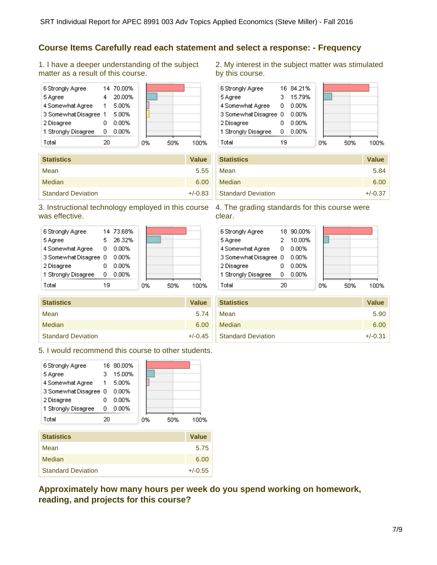### **Course Items Carefully read each statement and select a response: - Frequency**

1. I have a deeper understanding of the subject matter as a result of this course.



| <b>Statistics</b>         | <b>Value</b> |
|---------------------------|--------------|
| Mean                      | 5.55         |
| Median                    | 6.00         |
| <b>Standard Deviation</b> | $+/-0.83$    |

### 3. Instructional technology employed in this course 4. The grading standards for this course were was effective.

| 6 Strongly Agree      |    | 14 73.68% |    |     |    |
|-----------------------|----|-----------|----|-----|----|
| 5 Agree               |    | 26.32%    |    |     |    |
| 4 Somewhat Agree      | 0  | $0.00\%$  |    |     |    |
| 3 Somewhat Disagree 0 |    | 0.00%     |    |     |    |
| 2 Disagree            |    | 0.00%     |    |     |    |
| 1 Strongly Disagree   | п  | $0.00\%$  |    |     |    |
| Total                 | 19 |           | 0% | 50% | 7% |

| <b>Statistics</b>         | <b>Value</b> |
|---------------------------|--------------|
| Mean                      | 5.74         |
| Median                    | 6.00         |
| <b>Standard Deviation</b> | $+/-0.45$    |

5. I would recommend this course to other students.



| olalistics                | value     |
|---------------------------|-----------|
| Mean                      | 5.75      |
| Median                    | 6.00      |
| <b>Standard Deviation</b> | $+/-0.55$ |

**Approximately how many hours per week do you spend working on homework, reading, and projects for this course?**

2. My interest in the subject matter was stimulated by this course.



| <b>Statistics</b>         | <b>Value</b> |
|---------------------------|--------------|
| Mean                      | 5.84         |
| Median                    | 6.00         |
| <b>Standard Deviation</b> | $+/-0.37$    |

clear.

| 6 Strongly Agree      |    | 18 90.00% |    |     |      |
|-----------------------|----|-----------|----|-----|------|
| 5 Agree               |    | 10.00%    |    |     |      |
| 4 Somewhat Agree      | 0  | 0.00%     |    |     |      |
| 3 Somewhat Disagree 0 |    | 0.00%     |    |     |      |
| 2 Disagree            |    | 0.00%     |    |     |      |
| 1 Strongly Disagree   | n  | 0.00%     |    |     |      |
| Total                 | 20 |           | 0% | 50% | 100% |
|                       |    |           |    |     |      |

| <b>Statistics</b>         | <b>Value</b> |
|---------------------------|--------------|
| Mean                      | 5.90         |
| Median                    | 6.00         |
| <b>Standard Deviation</b> | $+/-0.31$    |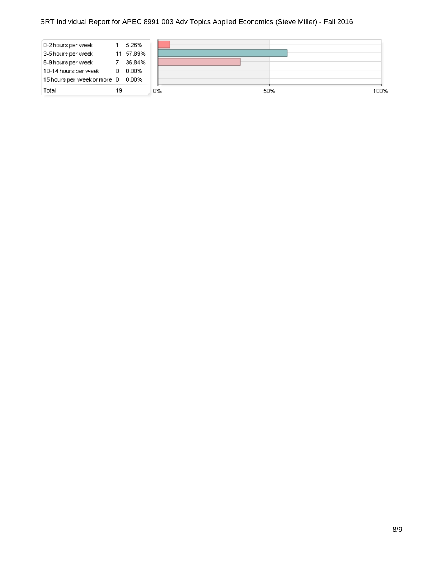### SRT Individual Report for APEC 8991 003 Adv Topics Applied Economics (Steve Miller) - Fall 2016